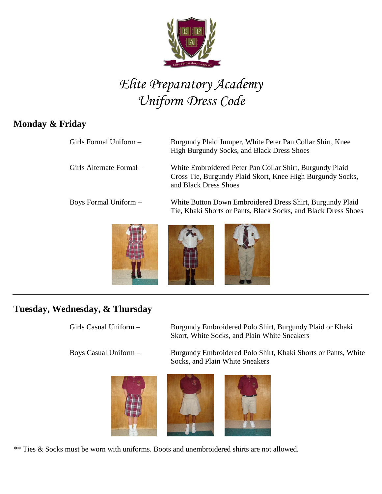

# *Elite Preparatory Academy Uniform Dress Code*

## **Monday & Friday**

| Girls Formal Uniform -   | Burgundy Plaid Jumper, White Peter Pan Collar Shirt, Knee<br><b>High Burgundy Socks, and Black Dress Shoes</b>                                  |
|--------------------------|-------------------------------------------------------------------------------------------------------------------------------------------------|
| Girls Alternate Formal – | White Embroidered Peter Pan Collar Shirt, Burgundy Plaid<br>Cross Tie, Burgundy Plaid Skort, Knee High Burgundy Socks,<br>and Black Dress Shoes |
| Boys Formal Uniform -    | White Button Down Embroidered Dress Shirt, Burgundy Plaid<br>Tie, Khaki Shorts or Pants, Black Socks, and Black Dress Shoes                     |
|                          |                                                                                                                                                 |



### **Tuesday, Wednesday, & Thursday**

Girls Casual Uniform – Burgundy Embroidered Polo Shirt, Burgundy Plaid or Khaki

Skort, White Socks, and Plain White Sneakers

Boys Casual Uniform – Burgundy Embroidered Polo Shirt, Khaki Shorts or Pants, White Socks, and Plain White Sneakers



\*\* Ties & Socks must be worn with uniforms. Boots and unembroidered shirts are not allowed.